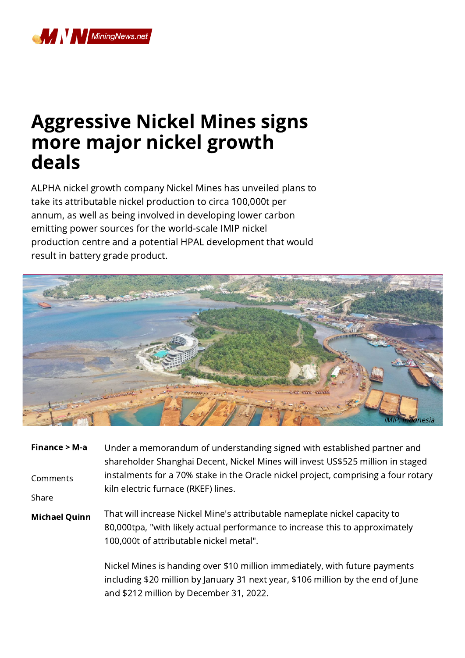

## Aggressive Nickel Mines signs more major nickel growth deals

ALPHA nickel growth company Nickel Mines has unveiled plans to take its attributable nickel production to circa 100,000t per annum, as well as being involved in developing lower carbon emitting power sources for the world-scale IMIP nickel production centre and a potential HPAL development that would result in battery grade product.



| Finance $> M-a$      | Under a memorandum of understanding signed with established partner and<br>shareholder Shanghai Decent, Nickel Mines will invest US\$525 million in staged                                            |
|----------------------|-------------------------------------------------------------------------------------------------------------------------------------------------------------------------------------------------------|
| Comments             | instalments for a 70% stake in the Oracle nickel project, comprising a four rotary<br>kiln electric furnace (RKEF) lines.                                                                             |
| Share                |                                                                                                                                                                                                       |
| <b>Michael Quinn</b> | That will increase Nickel Mine's attributable nameplate nickel capacity to<br>80,000tpa, "with likely actual performance to increase this to approximately<br>100,000t of attributable nickel metal". |
|                      | Nickel Mines is handing over \$10 million immediately, with future payments<br>including \$20 million by January 31 next year, \$106 million by the end of June                                       |

and \$212 million by December 31, 2022.